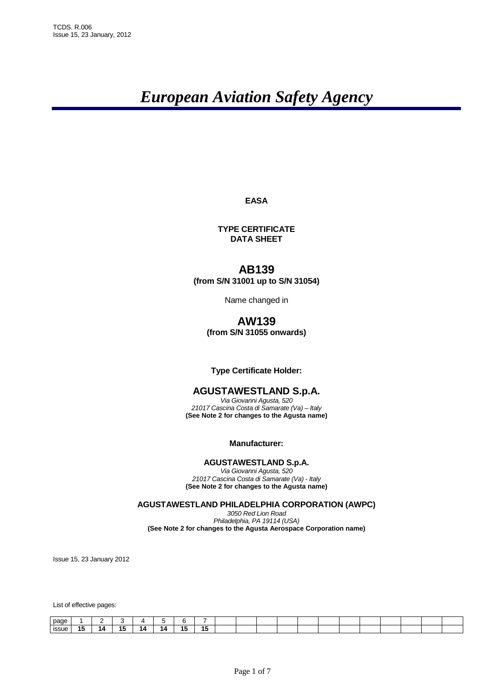# *European Aviation Safety Agency*

**EASA** 

**TYPE CERTIFICATE DATA SHEET**

# **AB139**

**(from S/N 31001 up to S/N 31054)** 

Name changed in

# **AW139 (from S/N 31055 onwards)**

# **Type Certificate Holder:**

# **AGUSTAWESTLAND S.p.A.**

Via Giovanni Agusta, 520 21017 Cascina Costa di Samarate (Va) – Italy **(See Note 2 for changes to the Agusta name)**

**Manufacturer:** 

# **AGUSTAWESTLAND S.p.A.**

Via Giovanni Agusta, 520 21017 Cascina Costa di Samarate (Va) - Italy **(See Note 2 for changes to the Agusta name)**

**AGUSTAWESTLAND PHILADELPHIA CORPORATION (AWPC)** 

3050 Red Lion Road Philadelphia, PA 19114 (USA) **(See Note 2 for changes to the Agusta Aerospace Corporation name)**

Issue 15, 23 January 2012

List of effective pages:

| nage         |            |            |    |     |           |                |  |  |  |  |  |  |
|--------------|------------|------------|----|-----|-----------|----------------|--|--|--|--|--|--|
| <b>ISSUE</b> | - -<br>. . | - -<br>. . | 14 | 1Δ. | <b>45</b> | <b>45</b><br>w |  |  |  |  |  |  |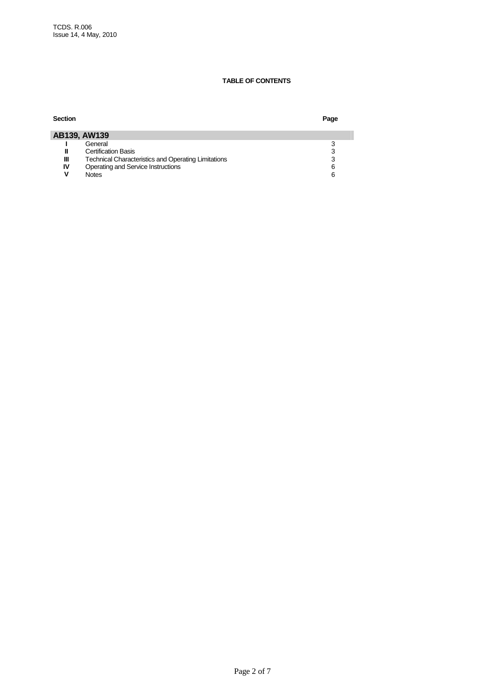## **TABLE OF CONTENTS**

| <b>Section</b>                                                  | Page |
|-----------------------------------------------------------------|------|
| AB139, AW139                                                    |      |
| General                                                         |      |
| <b>Certification Basis</b><br>Ш                                 | 3    |
| Ш<br><b>Technical Characteristics and Operating Limitations</b> | 3    |
| Operating and Service Instructions<br>IV                        | 6    |
| <b>Notes</b>                                                    | 6    |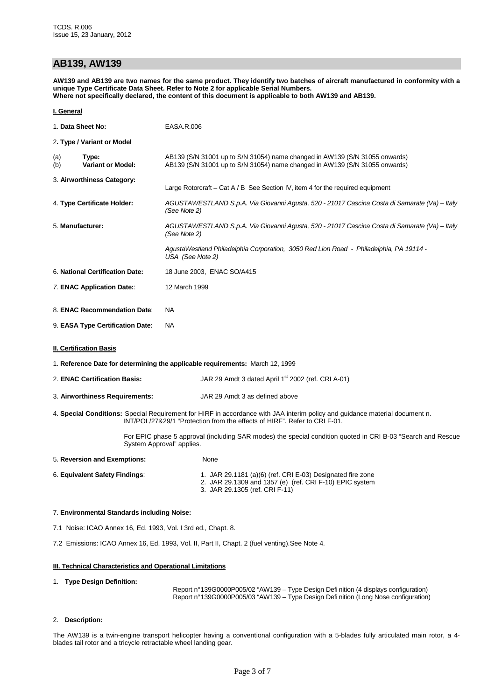# **AB139, AW139**

**AW139 and AB139 are two names for the same product. They identify two batches of aircraft manufactured in conformity with a unique Type Certificate Data Sheet. Refer to Note 2 for applicable Serial Numbers. Where not specifically declared, the content of this document is applicable to both AW139 and AB139.** 

#### **I. General**

| 1. Data Sheet No:                               |                                  | EASA.R.006                                                                                                                                                 |  |  |  |  |  |
|-------------------------------------------------|----------------------------------|------------------------------------------------------------------------------------------------------------------------------------------------------------|--|--|--|--|--|
|                                                 | 2. Type / Variant or Model       |                                                                                                                                                            |  |  |  |  |  |
| Type:<br>(a)<br><b>Variant or Model:</b><br>(b) |                                  | AB139 (S/N 31001 up to S/N 31054) name changed in AW139 (S/N 31055 onwards)<br>AB139 (S/N 31001 up to S/N 31054) name changed in AW139 (S/N 31055 onwards) |  |  |  |  |  |
|                                                 | 3. Airworthiness Category:       | Large Rotorcraft – Cat $A/B$ See Section IV, item 4 for the required equipment                                                                             |  |  |  |  |  |
| 4. Type Certificate Holder:                     |                                  | AGUSTAWESTLAND S.p.A. Via Giovanni Agusta, 520 - 21017 Cascina Costa di Samarate (Va) – Italy<br>(See Note 2)                                              |  |  |  |  |  |
| 5. Manufacturer:                                |                                  | AGUSTAWESTLAND S.p.A. Via Giovanni Agusta, 520 - 21017 Cascina Costa di Samarate (Va) – Italy<br>(See Note 2)                                              |  |  |  |  |  |
|                                                 |                                  | AgustaWestland Philadelphia Corporation, 3050 Red Lion Road - Philadelphia, PA 19114 -<br>USA (See Note 2)                                                 |  |  |  |  |  |
|                                                 | 6. National Certification Date:  | 18 June 2003, ENAC SO/A415                                                                                                                                 |  |  |  |  |  |
|                                                 | 7. ENAC Application Date::       | 12 March 1999                                                                                                                                              |  |  |  |  |  |
| 8. ENAC Recommendation Date:                    |                                  | NA.                                                                                                                                                        |  |  |  |  |  |
|                                                 | 9. EASA Type Certification Date: | <b>NA</b>                                                                                                                                                  |  |  |  |  |  |
|                                                 | <b>II. Certification Basis</b>   |                                                                                                                                                            |  |  |  |  |  |

1. **Reference Date for determining the applicable requirements:** March 12, 1999

2. **ENAC Certification Basis:** JAR 29 Amdt 3 dated April 1<sup>st</sup> 2002 (ref. CRI A-01)

- 3. **Airworthiness Requirements:** JAR 29 Amdt 3 as defined above
- 4. **Special Conditions:** Special Requirement for HIRF in accordance with JAA interim policy and guidance material document n. INT/POL/27&29/1 "Protection from the effects of HIRF". Refer to CRI F-01.

 For EPIC phase 5 approval (including SAR modes) the special condition quoted in CRI B-03 "Search and Rescue System Approval" applies.

| 6. Equivalent Safety Findings: | 1. JAR 29.1181 (a)(6) (ref. CRI E-03) Designated fire zone |
|--------------------------------|------------------------------------------------------------|
|                                | 2. JAR 29.1309 and 1357 (e) (ref. CRI F-10) EPIC system    |
|                                | 3. JAR 29.1305 (ref. CRI F-11)                             |

#### 7. **Environmental Standards including Noise:**

7.1 Noise: ICAO Annex 16, Ed. 1993, Vol. I 3rd ed., Chapt. 8.

5. **Reversion and Exemptions:** None

7.2 Emissions: ICAO Annex 16, Ed. 1993, Vol. II, Part II, Chapt. 2 (fuel venting).See Note 4.

#### **III. Technical Characteristics and Operational Limitations**

#### 1. **Type Design Definition:**

Report n° 139G0000P005/02 "AW139 – Type Design Defi nition (4 displays configuration) Report n° 139G0000P005/03 "AW139 – Type Design Defi nition (Long Nose configuration)

#### 2. **Description:**

The AW139 is a twin-engine transport helicopter having a conventional configuration with a 5-blades fully articulated main rotor, a 4 blades tail rotor and a tricycle retractable wheel landing gear.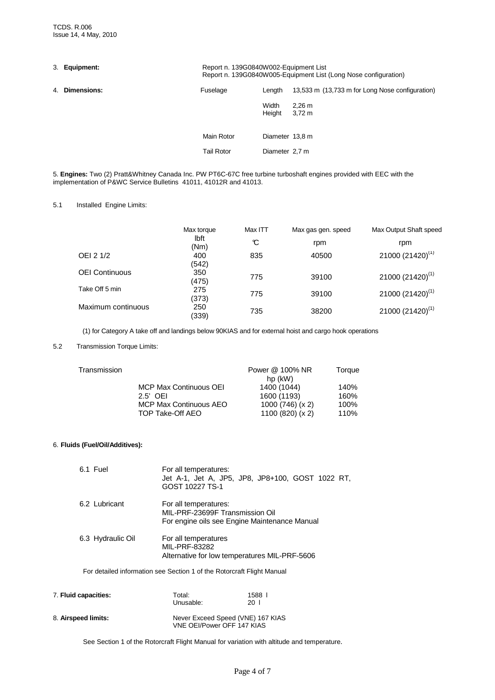|             | Report n. 139G0840W002-Equipment List<br>Report n. 139G0840W005-Equipment List (Long Nose configuration) |                 |                                                 |  |  |
|-------------|----------------------------------------------------------------------------------------------------------|-----------------|-------------------------------------------------|--|--|
| Dimensions: | Fuselage                                                                                                 | Length          | 13,533 m (13,733 m for Long Nose configuration) |  |  |
|             |                                                                                                          | Width<br>Height | 2.26 m<br>3,72 m                                |  |  |
|             | Main Rotor                                                                                               | Diameter 13,8 m |                                                 |  |  |
|             | <b>Tail Rotor</b>                                                                                        | Diameter 2.7 m  |                                                 |  |  |
|             | 3. Equipment:                                                                                            |                 |                                                 |  |  |

5. **Engines:** Two (2) Pratt&Whitney Canada Inc. PW PT6C-67C free turbine turboshaft engines provided with EEC with the implementation of P&WC Service Bulletins 41011, 41012R and 41013.

## 5.1 Installed Engine Limits:

|                       | Max torque          | Max ITT | Max gas gen. speed | Max Output Shaft speed       |
|-----------------------|---------------------|---------|--------------------|------------------------------|
|                       | <b>lbft</b><br>(Nm) | C       | rpm                | rpm                          |
| OEI 2 1/2             | 400<br>(542)        | 835     | 40500              | 21000 (21420) <sup>(1)</sup> |
| <b>OEI Continuous</b> | 350<br>(475)        | 775     | 39100              | 21000 (21420) <sup>(1)</sup> |
| Take Off 5 min        | 275<br>(373)        | 775     | 39100              | $21000(21420)^{(1)}$         |
| Maximum continuous    | 250<br>(339)        | 735     | 38200              | $21000(21420)^{(1)}$         |

(1) for Category A take off and landings below 90KIAS and for external hoist and cargo hook operations

#### 5.2 Transmission Torque Limits:

|                               | Power @ 100% NR  | Torque    |
|-------------------------------|------------------|-----------|
| <b>MCP Max Continuous OEI</b> | 1400 (1044)      | 140%      |
| $2.5'$ OFI                    | 1600 (1193)      | 160%      |
| <b>MCP Max Continuous AEO</b> | 1000 (746) (x 2) | 100%      |
| TOP Take-Off AEO              | 1100 (820) (x 2) | 110%      |
|                               |                  | hp $(kW)$ |

#### 6. **Fluids (Fuel/Oil/Additives):**

| 6.1 Fuel             | For all temperatures:<br>GOST 10227 TS-1                                                                  | Jet A-1, Jet A, JP5, JP8, JP8+100, GOST 1022 RT, |
|----------------------|-----------------------------------------------------------------------------------------------------------|--------------------------------------------------|
| 6.2 Lubricant        | For all temperatures:<br>MIL-PRF-23699F Transmission Oil<br>For engine oils see Engine Maintenance Manual |                                                  |
| 6.3 Hydraulic Oil    | For all temperatures<br>MIL-PRF-83282<br>Alternative for low temperatures MIL-PRF-5606                    |                                                  |
|                      | For detailed information see Section 1 of the Rotorcraft Flight Manual                                    |                                                  |
| 7. Fluid capacities: | Total:<br>Unusable:                                                                                       | 1588  <br>20 <sub>1</sub>                        |

| 8. Airspeed limits: | Never Exceed Speed (VNE) 167 KIAS |
|---------------------|-----------------------------------|
|                     | VNE OEI/Power OFF 147 KIAS        |

See Section 1 of the Rotorcraft Flight Manual for variation with altitude and temperature.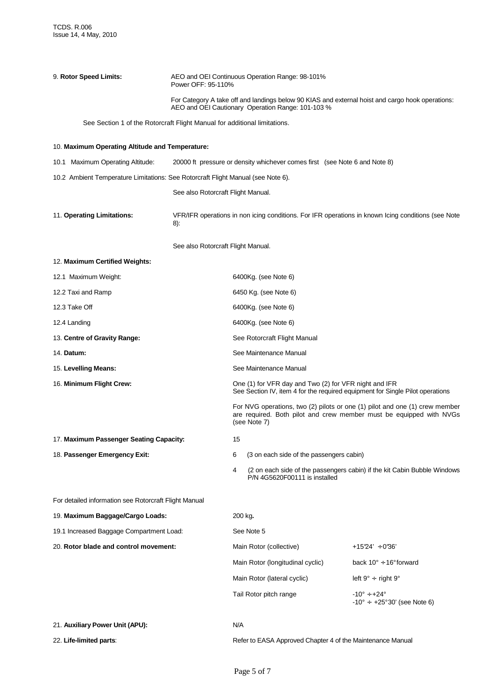| 9. Rotor Speed Limits:<br>Power OFF: 95-110%                              |                                                                                  |                                                                                                                                                       | AEO and OEI Continuous Operation Range: 98-101%                                                                                        |                                                                                                                                                    |  |  |  |
|---------------------------------------------------------------------------|----------------------------------------------------------------------------------|-------------------------------------------------------------------------------------------------------------------------------------------------------|----------------------------------------------------------------------------------------------------------------------------------------|----------------------------------------------------------------------------------------------------------------------------------------------------|--|--|--|
|                                                                           |                                                                                  | For Category A take off and landings below 90 KIAS and external hoist and cargo hook operations:<br>AEO and OEI Cautionary Operation Range: 101-103 % |                                                                                                                                        |                                                                                                                                                    |  |  |  |
| See Section 1 of the Rotorcraft Flight Manual for additional limitations. |                                                                                  |                                                                                                                                                       |                                                                                                                                        |                                                                                                                                                    |  |  |  |
| 10. Maximum Operating Altitude and Temperature:                           |                                                                                  |                                                                                                                                                       |                                                                                                                                        |                                                                                                                                                    |  |  |  |
| 10.1 Maximum Operating Altitude:                                          |                                                                                  |                                                                                                                                                       | 20000 ft pressure or density whichever comes first (see Note 6 and Note 8)                                                             |                                                                                                                                                    |  |  |  |
|                                                                           | 10.2 Ambient Temperature Limitations: See Rotorcraft Flight Manual (see Note 6). |                                                                                                                                                       |                                                                                                                                        |                                                                                                                                                    |  |  |  |
|                                                                           | See also Rotorcraft Flight Manual.                                               |                                                                                                                                                       |                                                                                                                                        |                                                                                                                                                    |  |  |  |
| 11. Operating Limitations:                                                | 8):                                                                              | VFR/IFR operations in non icing conditions. For IFR operations in known Icing conditions (see Note                                                    |                                                                                                                                        |                                                                                                                                                    |  |  |  |
|                                                                           | See also Rotorcraft Flight Manual.                                               |                                                                                                                                                       |                                                                                                                                        |                                                                                                                                                    |  |  |  |
| 12. Maximum Certified Weights:                                            |                                                                                  |                                                                                                                                                       |                                                                                                                                        |                                                                                                                                                    |  |  |  |
| 12.1 Maximum Weight:                                                      |                                                                                  |                                                                                                                                                       | 6400Kg. (see Note 6)                                                                                                                   |                                                                                                                                                    |  |  |  |
| 12.2 Taxi and Ramp                                                        |                                                                                  |                                                                                                                                                       | 6450 Kg. (see Note 6)                                                                                                                  |                                                                                                                                                    |  |  |  |
| 12.3 Take Off                                                             |                                                                                  | 6400Kg. (see Note 6)                                                                                                                                  |                                                                                                                                        |                                                                                                                                                    |  |  |  |
| 12.4 Landing                                                              |                                                                                  | 6400Kg. (see Note 6)                                                                                                                                  |                                                                                                                                        |                                                                                                                                                    |  |  |  |
| 13. Centre of Gravity Range:                                              |                                                                                  | See Rotorcraft Flight Manual                                                                                                                          |                                                                                                                                        |                                                                                                                                                    |  |  |  |
| 14. Datum:                                                                |                                                                                  |                                                                                                                                                       | See Maintenance Manual                                                                                                                 |                                                                                                                                                    |  |  |  |
| 15. Levelling Means:                                                      |                                                                                  |                                                                                                                                                       | See Maintenance Manual                                                                                                                 |                                                                                                                                                    |  |  |  |
| 16. Minimum Flight Crew:                                                  |                                                                                  |                                                                                                                                                       | One (1) for VFR day and Two (2) for VFR night and IFR<br>See Section IV, item 4 for the required equipment for Single Pilot operations |                                                                                                                                                    |  |  |  |
|                                                                           |                                                                                  |                                                                                                                                                       | (see Note 7)                                                                                                                           | For NVG operations, two (2) pilots or one (1) pilot and one (1) crew member<br>are required. Both pilot and crew member must be equipped with NVGs |  |  |  |
| 17. Maximum Passenger Seating Capacity:                                   |                                                                                  | 15                                                                                                                                                    |                                                                                                                                        |                                                                                                                                                    |  |  |  |
| 18. Passenger Emergency Exit:                                             |                                                                                  | 6                                                                                                                                                     | (3 on each side of the passengers cabin)                                                                                               |                                                                                                                                                    |  |  |  |
|                                                                           |                                                                                  | 4                                                                                                                                                     | P/N 4G5620F00111 is installed                                                                                                          | (2 on each side of the passengers cabin) if the kit Cabin Bubble Windows                                                                           |  |  |  |
| For detailed information see Rotorcraft Flight Manual                     |                                                                                  |                                                                                                                                                       |                                                                                                                                        |                                                                                                                                                    |  |  |  |
| 19. Maximum Baggage/Cargo Loads:                                          |                                                                                  | 200 kg.                                                                                                                                               |                                                                                                                                        |                                                                                                                                                    |  |  |  |
| 19.1 Increased Baggage Compartment Load:                                  |                                                                                  |                                                                                                                                                       | See Note 5                                                                                                                             |                                                                                                                                                    |  |  |  |
| 20. Rotor blade and control movement:                                     |                                                                                  |                                                                                                                                                       | Main Rotor (collective)                                                                                                                | $+1524' + 036'$                                                                                                                                    |  |  |  |
|                                                                           |                                                                                  |                                                                                                                                                       | Main Rotor (longitudinal cyclic)                                                                                                       | back $10^{\circ} \div 16^{\circ}$ forward                                                                                                          |  |  |  |
|                                                                           |                                                                                  |                                                                                                                                                       | Main Rotor (lateral cyclic)                                                                                                            | left $9^\circ \div$ right $9^\circ$                                                                                                                |  |  |  |
|                                                                           |                                                                                  |                                                                                                                                                       | Tail Rotor pitch range                                                                                                                 | $-10^{\circ} \div +24^{\circ}$<br>$-10^{\circ} \div 25^{\circ}30'$ (see Note 6)                                                                    |  |  |  |
| 21. Auxiliary Power Unit (APU):                                           |                                                                                  | N/A                                                                                                                                                   |                                                                                                                                        |                                                                                                                                                    |  |  |  |
| 22. Life-limited parts:                                                   |                                                                                  |                                                                                                                                                       | Refer to EASA Approved Chapter 4 of the Maintenance Manual                                                                             |                                                                                                                                                    |  |  |  |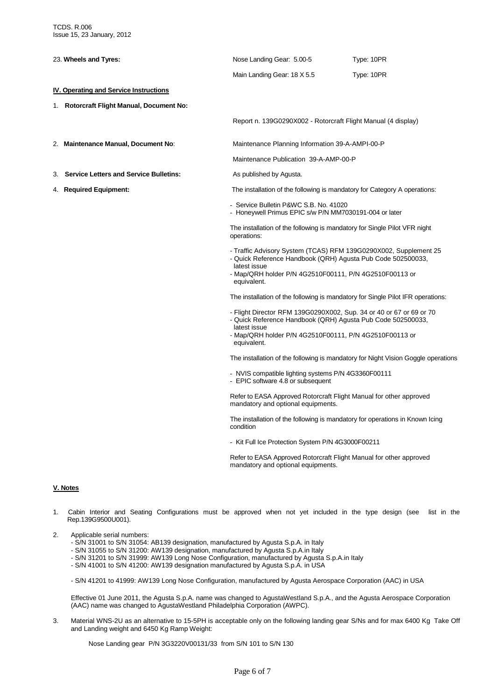| 23. Wheels and Tyres:                         |                                               | Nose Landing Gear: 5.00-5                                                                                                             | Type: 10PR                                                                        |
|-----------------------------------------------|-----------------------------------------------|---------------------------------------------------------------------------------------------------------------------------------------|-----------------------------------------------------------------------------------|
|                                               |                                               | Main Landing Gear: 18 X 5.5                                                                                                           | Type: 10PR                                                                        |
| <b>IV. Operating and Service Instructions</b> |                                               |                                                                                                                                       |                                                                                   |
|                                               | 1. Rotorcraft Flight Manual, Document No:     |                                                                                                                                       |                                                                                   |
|                                               |                                               | Report n. 139G0290X002 - Rotorcraft Flight Manual (4 display)                                                                         |                                                                                   |
| 2. Maintenance Manual, Document No:           |                                               | Maintenance Planning Information 39-A-AMPI-00-P                                                                                       |                                                                                   |
|                                               |                                               | Maintenance Publication 39-A-AMP-00-P                                                                                                 |                                                                                   |
| З.                                            | <b>Service Letters and Service Bulletins:</b> | As published by Agusta.                                                                                                               |                                                                                   |
| 4. Required Equipment:                        |                                               |                                                                                                                                       | The installation of the following is mandatory for Category A operations:         |
|                                               |                                               | - Service Bulletin P&WC S.B. No. 41020<br>- Honeywell Primus EPIC s/w P/N MM7030191-004 or later                                      |                                                                                   |
|                                               |                                               | The installation of the following is mandatory for Single Pilot VFR night<br>operations:                                              |                                                                                   |
|                                               |                                               | - Quick Reference Handbook (QRH) Agusta Pub Code 502500033,<br>latest issue<br>- Map/QRH holder P/N 4G2510F00111, P/N 4G2510F00113 or | - Traffic Advisory System (TCAS) RFM 139G0290X002, Supplement 25                  |
|                                               |                                               | equivalent.                                                                                                                           |                                                                                   |
|                                               |                                               |                                                                                                                                       | The installation of the following is mandatory for Single Pilot IFR operations:   |
|                                               |                                               | - Quick Reference Handbook (QRH) Agusta Pub Code 502500033,<br>latest issue                                                           | - Flight Director RFM 139G0290X002, Sup. 34 or 40 or 67 or 69 or 70               |
|                                               |                                               | - Map/QRH holder P/N 4G2510F00111, P/N 4G2510F00113 or<br>equivalent.                                                                 |                                                                                   |
|                                               |                                               |                                                                                                                                       | The installation of the following is mandatory for Night Vision Goggle operations |
|                                               |                                               | - NVIS compatible lighting systems P/N 4G3360F00111<br>- EPIC software 4.8 or subsequent                                              |                                                                                   |
|                                               |                                               | Refer to EASA Approved Rotorcraft Flight Manual for other approved<br>mandatory and optional equipments.                              |                                                                                   |
|                                               |                                               | condition                                                                                                                             | The installation of the following is mandatory for operations in Known Icing      |
|                                               |                                               | - Kit Full Ice Protection System P/N 4G3000F00211                                                                                     |                                                                                   |

Refer to EASA Approved Rotorcraft Flight Manual for other approved mandatory and optional equipments.

### **V. Notes**

- 1. Cabin Interior and Seating Configurations must be approved when not yet included in the type design (see list in the Rep.139G9500U001).
- 2. Applicable serial numbers:
	- S/N 31001 to S/N 31054: AB139 designation, manufactured by Agusta S.p.A. in Italy
	- S/N 31055 to S/N 31200: AW139 designation, manufactured by Agusta S.p.A.in Italy
	- S/N 31201 to S/N 31999: AW139 Long Nose Configuration, manufactured by Agusta S.p.A.in Italy
	- S/N 41001 to S/N 41200: AW139 designation manufactured by Agusta S.p.A. in USA

- S/N 41201 to 41999: AW139 Long Nose Configuration, manufactured by Agusta Aerospace Corporation (AAC) in USA

 Effective 01 June 2011, the Agusta S.p.A. name was changed to AgustaWestland S.p.A., and the Agusta Aerospace Corporation (AAC) name was changed to AgustaWestland Philadelphia Corporation (AWPC).

3. Material WNS-2U as an alternative to 15-5PH is acceptable only on the following landing gear S/Ns and for max 6400 Kg Take Off and Landing weight and 6450 Kg Ramp Weight:

Nose Landing gear P/N 3G3220V00131/33 from S/N 101 to S/N 130